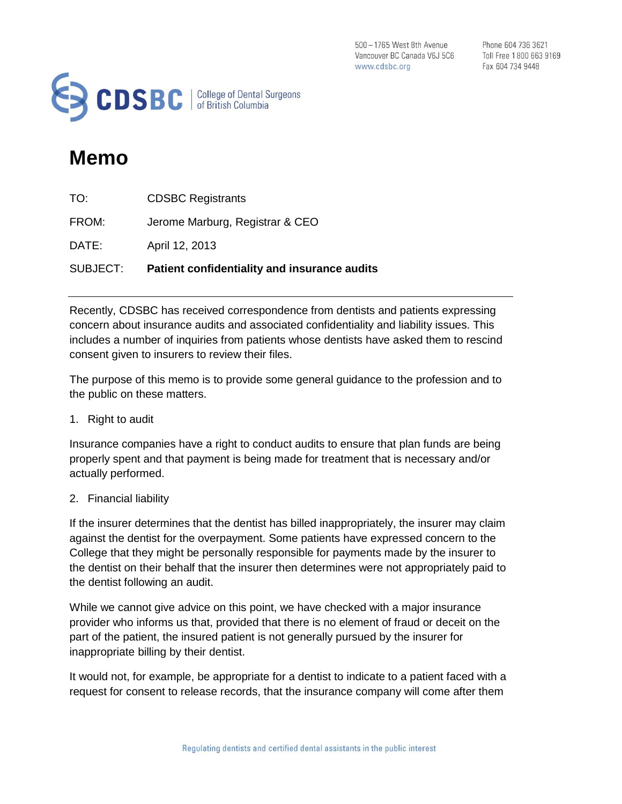500 - 1765 West 8th Avenue Vancouver BC Canada V6J 5C6 www.cdsbc.org

Phone 604 736 3621 Toll Free 1 800 663 9169 Fax 604 734 9448



## **Memo**

| SUBJECT: | Patient confidentiality and insurance audits |
|----------|----------------------------------------------|
| DATE:    | April 12, 2013                               |
| FROM:    | Jerome Marburg, Registrar & CEO              |
| TO:      | <b>CDSBC Registrants</b>                     |

Recently, CDSBC has received correspondence from dentists and patients expressing concern about insurance audits and associated confidentiality and liability issues. This includes a number of inquiries from patients whose dentists have asked them to rescind consent given to insurers to review their files.

The purpose of this memo is to provide some general guidance to the profession and to the public on these matters.

1. Right to audit

Insurance companies have a right to conduct audits to ensure that plan funds are being properly spent and that payment is being made for treatment that is necessary and/or actually performed.

## 2. Financial liability

If the insurer determines that the dentist has billed inappropriately, the insurer may claim against the dentist for the overpayment. Some patients have expressed concern to the College that they might be personally responsible for payments made by the insurer to the dentist on their behalf that the insurer then determines were not appropriately paid to the dentist following an audit.

While we cannot give advice on this point, we have checked with a major insurance provider who informs us that, provided that there is no element of fraud or deceit on the part of the patient, the insured patient is not generally pursued by the insurer for inappropriate billing by their dentist.

It would not, for example, be appropriate for a dentist to indicate to a patient faced with a request for consent to release records, that the insurance company will come after them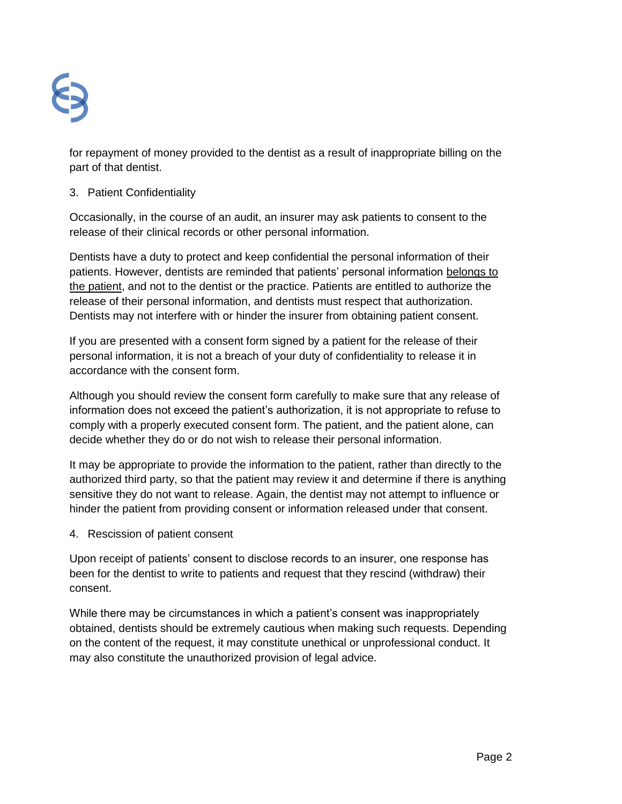

for repayment of money provided to the dentist as a result of inappropriate billing on the part of that dentist.

## 3. Patient Confidentiality

Occasionally, in the course of an audit, an insurer may ask patients to consent to the release of their clinical records or other personal information.

Dentists have a duty to protect and keep confidential the personal information of their patients. However, dentists are reminded that patients' personal information belongs to the patient, and not to the dentist or the practice. Patients are entitled to authorize the release of their personal information, and dentists must respect that authorization. Dentists may not interfere with or hinder the insurer from obtaining patient consent.

If you are presented with a consent form signed by a patient for the release of their personal information, it is not a breach of your duty of confidentiality to release it in accordance with the consent form.

Although you should review the consent form carefully to make sure that any release of information does not exceed the patient's authorization, it is not appropriate to refuse to comply with a properly executed consent form. The patient, and the patient alone, can decide whether they do or do not wish to release their personal information.

It may be appropriate to provide the information to the patient, rather than directly to the authorized third party, so that the patient may review it and determine if there is anything sensitive they do not want to release. Again, the dentist may not attempt to influence or hinder the patient from providing consent or information released under that consent.

4. Rescission of patient consent

Upon receipt of patients' consent to disclose records to an insurer, one response has been for the dentist to write to patients and request that they rescind (withdraw) their consent.

While there may be circumstances in which a patient's consent was inappropriately obtained, dentists should be extremely cautious when making such requests. Depending on the content of the request, it may constitute unethical or unprofessional conduct. It may also constitute the unauthorized provision of legal advice.